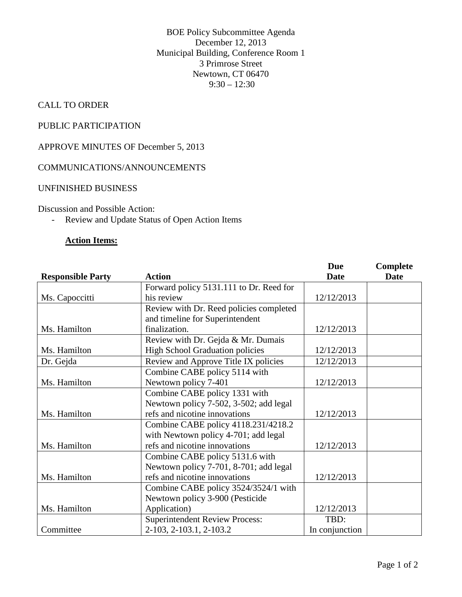BOE Policy Subcommittee Agenda December 12, 2013 Municipal Building, Conference Room 1 3 Primrose Street Newtown, CT 06470  $9:30 - 12:30$ 

## CALL TO ORDER

# PUBLIC PARTICIPATION

APPROVE MINUTES OF December 5, 2013

## COMMUNICATIONS/ANNOUNCEMENTS

#### UNFINISHED BUSINESS

Discussion and Possible Action:

- Review and Update Status of Open Action Items

## **Action Items:**

|                          |                                         | <b>Due</b>     | Complete    |
|--------------------------|-----------------------------------------|----------------|-------------|
| <b>Responsible Party</b> | <b>Action</b>                           | Date           | <b>Date</b> |
|                          | Forward policy 5131.111 to Dr. Reed for |                |             |
| Ms. Capoccitti           | his review                              | 12/12/2013     |             |
|                          | Review with Dr. Reed policies completed |                |             |
|                          | and timeline for Superintendent         |                |             |
| Ms. Hamilton             | finalization.                           | 12/12/2013     |             |
|                          | Review with Dr. Gejda & Mr. Dumais      |                |             |
| Ms. Hamilton             | <b>High School Graduation policies</b>  | 12/12/2013     |             |
| Dr. Gejda                | Review and Approve Title IX policies    | 12/12/2013     |             |
|                          | Combine CABE policy 5114 with           |                |             |
| Ms. Hamilton             | Newtown policy 7-401                    | 12/12/2013     |             |
|                          | Combine CABE policy 1331 with           |                |             |
|                          | Newtown policy 7-502, 3-502; add legal  |                |             |
| Ms. Hamilton             | refs and nicotine innovations           | 12/12/2013     |             |
|                          | Combine CABE policy 4118.231/4218.2     |                |             |
|                          | with Newtown policy 4-701; add legal    |                |             |
| Ms. Hamilton             | refs and nicotine innovations           | 12/12/2013     |             |
|                          | Combine CABE policy 5131.6 with         |                |             |
|                          | Newtown policy 7-701, 8-701; add legal  |                |             |
| Ms. Hamilton             | refs and nicotine innovations           | 12/12/2013     |             |
|                          | Combine CABE policy 3524/3524/1 with    |                |             |
|                          | Newtown policy 3-900 (Pesticide         |                |             |
| Ms. Hamilton             | Application)                            | 12/12/2013     |             |
|                          | <b>Superintendent Review Process:</b>   | TBD:           |             |
| Committee                | 2-103, 2-103.1, 2-103.2                 | In conjunction |             |